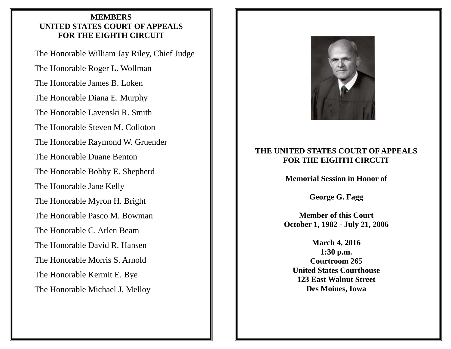# **MEMBERS UNITED STATES COURT OF APPEALS FOR THE EIGHTH CIRCUIT**

The Honorable William Jay Riley, Chief Judge The Honorable Roger L. Wollman The Honorable James B. Loken The Honorable Diana E. Murphy The Honorable Lavenski R. Smith The Honorable Steven M. Colloton The Honorable Raymond W. Gruender The Honorable Duane Benton The Honorable Bobby E. Shepherd The Honorable Jane Kelly The Honorable Myron H. Bright The Honorable Pasco M. Bowman The Honorable C. Arlen Beam The Honorable David R. Hansen The Honorable Morris S. Arnold The Honorable Kermit E. Bye The Honorable Michael J. Melloy



# **THE UNITED STATES COURT OF APPEALS FOR THE EIGHTH CIRCUIT**

**Memorial Session in Honor of** 

**George G. Fagg** 

**Member of this Court October 1, 1982 - July 21, 2006** 

**March 4, 2016 1:30 p.m. Courtroom 265 United States Courthouse 123 East Walnut Street Des Moines, Iowa**